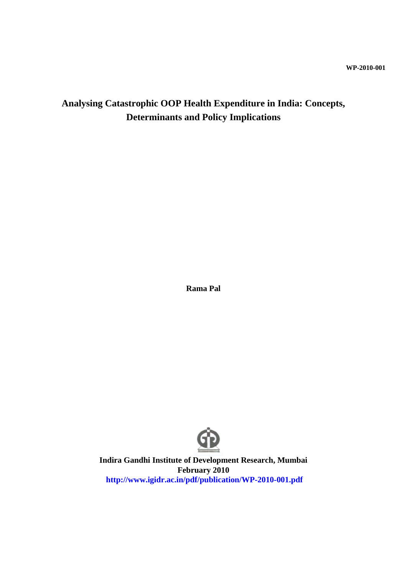## **Analysing Catastrophic OOP Health Expenditure in India: Concepts, Determinants and Policy Implications**

**Rama Pal**



**Indira Gandhi Institute of Development Research, Mumbai February 2010 http://www.igidr.ac.in/pdf/publication/WP-2010-001.pdf**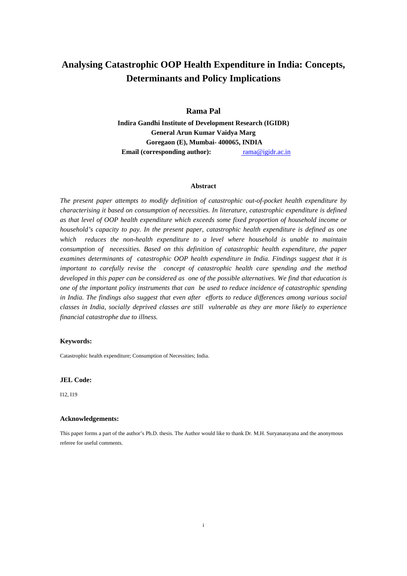## **Analysing Catastrophic OOP Health Expenditure in India: Concepts, Determinants and Policy Implications**

**Rama Pal**

**Indira Gandhi Institute of Development Research (IGIDR) General Arun Kumar Vaidya Marg Goregaon (E), Mumbai- 400065, INDIA Email (corresponding author):** rama@igidr.ac.in

#### **Abstract**

*The present paper attempts to modify definition of catastrophic out-of-pocket health expenditure by characterising it based on consumption of necessities. In literature, catastrophic expenditure is defined as that level of OOP health expenditure which exceeds some fixed proportion of household income or household's capacity to pay. In the present paper, catastrophic health expenditure is defined as one which reduces the non-health expenditure to a level where household is unable to maintain consumption of necessities. Based on this definition of catastrophic health expenditure, the paper examines determinants of catastrophic OOP health expenditure in India. Findings suggest that it is important to carefully revise the concept of catastrophic health care spending and the method developed in this paper can be considered as one of the possible alternatives. We find that education is one of the important policy instruments that can be used to reduce incidence of catastrophic spending in India. The findings also suggest that even after efforts to reduce differences among various social classes in India, socially deprived classes are still vulnerable as they are more likely to experience financial catastrophe due to illness.*

#### **Keywords:**

Catastrophic health expenditure; Consumption of Necessities; India.

#### **JEL Code:**

I12, I19

#### **Acknowledgements:**

This paper forms a part of the author's Ph.D. thesis. The Author would like to thank Dr. M.H. Suryanarayana and the anonymous referee for useful comments.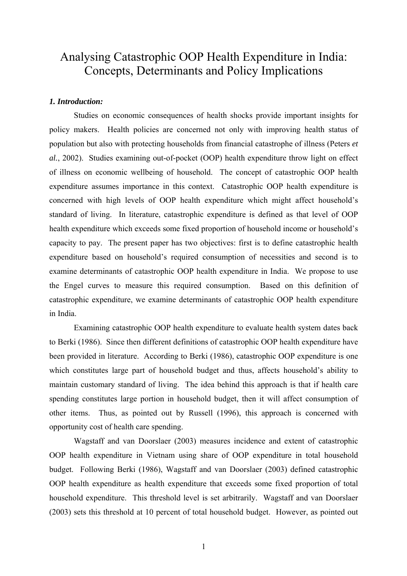# Analysing Catastrophic OOP Health Expenditure in India: Concepts, Determinants and Policy Implications

## *1. Introduction:*

Studies on economic consequences of health shocks provide important insights for policy makers. Health policies are concerned not only with improving health status of population but also with protecting households from financial catastrophe of illness (Peters *et al.*, 2002). Studies examining out-of-pocket (OOP) health expenditure throw light on effect of illness on economic wellbeing of household. The concept of catastrophic OOP health expenditure assumes importance in this context. Catastrophic OOP health expenditure is concerned with high levels of OOP health expenditure which might affect household's standard of living. In literature, catastrophic expenditure is defined as that level of OOP health expenditure which exceeds some fixed proportion of household income or household's capacity to pay. The present paper has two objectives: first is to define catastrophic health expenditure based on household's required consumption of necessities and second is to examine determinants of catastrophic OOP health expenditure in India. We propose to use the Engel curves to measure this required consumption. Based on this definition of catastrophic expenditure, we examine determinants of catastrophic OOP health expenditure in India.

Examining catastrophic OOP health expenditure to evaluate health system dates back to Berki (1986). Since then different definitions of catastrophic OOP health expenditure have been provided in literature. According to Berki (1986), catastrophic OOP expenditure is one which constitutes large part of household budget and thus, affects household's ability to maintain customary standard of living. The idea behind this approach is that if health care spending constitutes large portion in household budget, then it will affect consumption of other items. Thus, as pointed out by Russell (1996), this approach is concerned with opportunity cost of health care spending.

Wagstaff and van Doorslaer (2003) measures incidence and extent of catastrophic OOP health expenditure in Vietnam using share of OOP expenditure in total household budget. Following Berki (1986), Wagstaff and van Doorslaer (2003) defined catastrophic OOP health expenditure as health expenditure that exceeds some fixed proportion of total household expenditure. This threshold level is set arbitrarily. Wagstaff and van Doorslaer (2003) sets this threshold at 10 percent of total household budget. However, as pointed out

1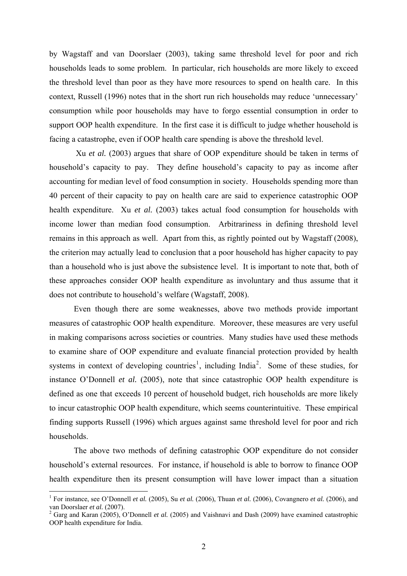by Wagstaff and van Doorslaer (2003), taking same threshold level for poor and rich households leads to some problem. In particular, rich households are more likely to exceed the threshold level than poor as they have more resources to spend on health care. In this context, Russell (1996) notes that in the short run rich households may reduce 'unnecessary' consumption while poor households may have to forgo essential consumption in order to support OOP health expenditure. In the first case it is difficult to judge whether household is facing a catastrophe, even if OOP health care spending is above the threshold level.

 Xu *et al.* (2003) argues that share of OOP expenditure should be taken in terms of household's capacity to pay. They define household's capacity to pay as income after accounting for median level of food consumption in society. Households spending more than 40 percent of their capacity to pay on health care are said to experience catastrophic OOP health expenditure. Xu *et al.* (2003) takes actual food consumption for households with income lower than median food consumption. Arbitrariness in defining threshold level remains in this approach as well. Apart from this, as rightly pointed out by Wagstaff (2008), the criterion may actually lead to conclusion that a poor household has higher capacity to pay than a household who is just above the subsistence level. It is important to note that, both of these approaches consider OOP health expenditure as involuntary and thus assume that it does not contribute to household's welfare (Wagstaff, 2008).

Even though there are some weaknesses, above two methods provide important measures of catastrophic OOP health expenditure. Moreover, these measures are very useful in making comparisons across societies or countries. Many studies have used these methods to examine share of OOP expenditure and evaluate financial protection provided by health systems in context of developing countries<sup>[1](#page-3-0)</sup>, including India<sup>[2](#page-3-1)</sup>. Some of these studies, for instance O'Donnell *et al.* (2005), note that since catastrophic OOP health expenditure is defined as one that exceeds 10 percent of household budget, rich households are more likely to incur catastrophic OOP health expenditure, which seems counterintuitive. These empirical finding supports Russell (1996) which argues against same threshold level for poor and rich households.

The above two methods of defining catastrophic OOP expenditure do not consider household's external resources. For instance, if household is able to borrow to finance OOP health expenditure then its present consumption will have lower impact than a situation

<span id="page-3-0"></span> 1 For instance, see O'Donnell *et al.* (2005), Su *et al.* (2006), Thuan *et al.* (2006), Covangnero *et al.* (2006), and van Doorslaer *et al.* (2007).

<span id="page-3-1"></span><sup>&</sup>lt;sup>2</sup> Garg and Karan (2005), O'Donnell *et al.* (2005) and Vaishnavi and Dash (2009) have examined catastrophic OOP health expenditure for India.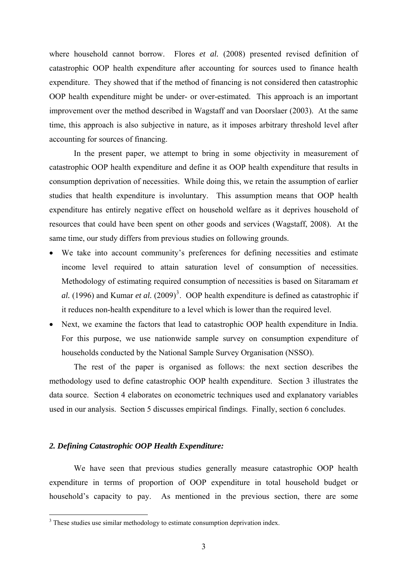where household cannot borrow. Flores *et al.* (2008) presented revised definition of catastrophic OOP health expenditure after accounting for sources used to finance health expenditure. They showed that if the method of financing is not considered then catastrophic OOP health expenditure might be under- or over-estimated. This approach is an important improvement over the method described in Wagstaff and van Doorslaer (2003). At the same time, this approach is also subjective in nature, as it imposes arbitrary threshold level after accounting for sources of financing.

In the present paper, we attempt to bring in some objectivity in measurement of catastrophic OOP health expenditure and define it as OOP health expenditure that results in consumption deprivation of necessities. While doing this, we retain the assumption of earlier studies that health expenditure is involuntary. This assumption means that OOP health expenditure has entirely negative effect on household welfare as it deprives household of resources that could have been spent on other goods and services (Wagstaff, 2008). At the same time, our study differs from previous studies on following grounds.

- We take into account community's preferences for defining necessities and estimate income level required to attain saturation level of consumption of necessities. Methodology of estimating required consumption of necessities is based on Sitaramam *et*  al. (1996) and Kumar *et al.* (2009)<sup>[3](#page-4-0)</sup>. OOP health expenditure is defined as catastrophic if it reduces non-health expenditure to a level which is lower than the required level.
- Next, we examine the factors that lead to catastrophic OOP health expenditure in India. For this purpose, we use nationwide sample survey on consumption expenditure of households conducted by the National Sample Survey Organisation (NSSO).

The rest of the paper is organised as follows: the next section describes the methodology used to define catastrophic OOP health expenditure. Section 3 illustrates the data source. Section 4 elaborates on econometric techniques used and explanatory variables used in our analysis. Section 5 discusses empirical findings. Finally, section 6 concludes.

#### *2. Defining Catastrophic OOP Health Expenditure:*

We have seen that previous studies generally measure catastrophic OOP health expenditure in terms of proportion of OOP expenditure in total household budget or household's capacity to pay. As mentioned in the previous section, there are some

<span id="page-4-0"></span><sup>&</sup>lt;sup>3</sup> These studies use similar methodology to estimate consumption deprivation index.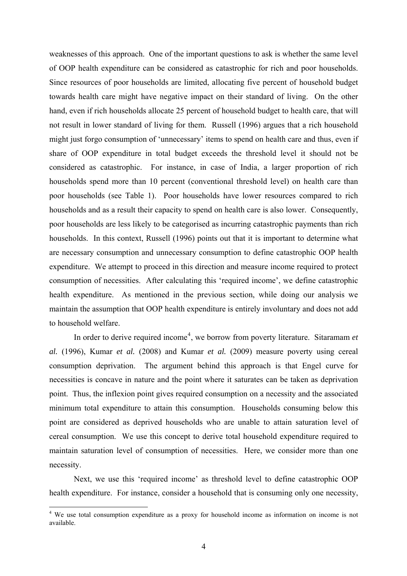weaknesses of this approach. One of the important questions to ask is whether the same level of OOP health expenditure can be considered as catastrophic for rich and poor households. Since resources of poor households are limited, allocating five percent of household budget towards health care might have negative impact on their standard of living. On the other hand, even if rich households allocate 25 percent of household budget to health care, that will not result in lower standard of living for them. Russell (1996) argues that a rich household might just forgo consumption of 'unnecessary' items to spend on health care and thus, even if share of OOP expenditure in total budget exceeds the threshold level it should not be considered as catastrophic. For instance, in case of India, a larger proportion of rich households spend more than 10 percent (conventional threshold level) on health care than poor households (see Table 1). Poor households have lower resources compared to rich households and as a result their capacity to spend on health care is also lower. Consequently, poor households are less likely to be categorised as incurring catastrophic payments than rich households. In this context, Russell (1996) points out that it is important to determine what are necessary consumption and unnecessary consumption to define catastrophic OOP health expenditure. We attempt to proceed in this direction and measure income required to protect consumption of necessities. After calculating this 'required income', we define catastrophic health expenditure. As mentioned in the previous section, while doing our analysis we maintain the assumption that OOP health expenditure is entirely involuntary and does not add to household welfare.

In order to derive required income<sup>[4](#page-5-0)</sup>, we borrow from poverty literature. Sitaramam *et al.* (1996), Kumar *et al.* (2008) and Kumar *et al.* (2009) measure poverty using cereal consumption deprivation. The argument behind this approach is that Engel curve for necessities is concave in nature and the point where it saturates can be taken as deprivation point. Thus, the inflexion point gives required consumption on a necessity and the associated minimum total expenditure to attain this consumption. Households consuming below this point are considered as deprived households who are unable to attain saturation level of cereal consumption. We use this concept to derive total household expenditure required to maintain saturation level of consumption of necessities. Here, we consider more than one necessity.

Next, we use this 'required income' as threshold level to define catastrophic OOP health expenditure. For instance, consider a household that is consuming only one necessity,

 $\overline{a}$ 

<span id="page-5-0"></span><sup>&</sup>lt;sup>4</sup> We use total consumption expenditure as a proxy for household income as information on income is not available.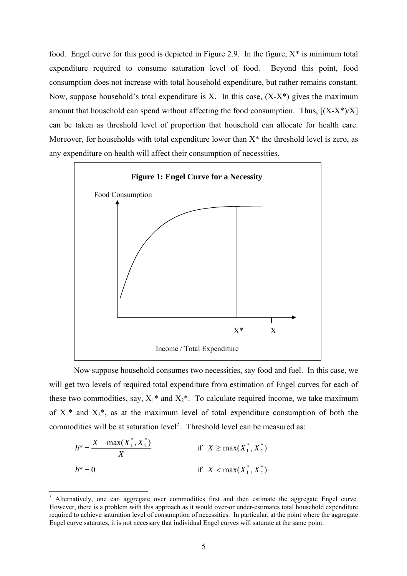food. Engel curve for this good is depicted in Figure 2.9. In the figure,  $X^*$  is minimum total expenditure required to consume saturation level of food. Beyond this point, food consumption does not increase with total household expenditure, but rather remains constant. Now, suppose household's total expenditure is X. In this case,  $(X-X^*)$  gives the maximum amount that household can spend without affecting the food consumption. Thus,  $[(X-X^*)/X]$ can be taken as threshold level of proportion that household can allocate for health care. Moreover, for households with total expenditure lower than  $X^*$  the threshold level is zero, as any expenditure on health will affect their consumption of necessities.



Now suppose household consumes two necessities, say food and fuel. In this case, we will get two levels of required total expenditure from estimation of Engel curves for each of these two commodities, say,  $X_1^*$  and  $X_2^*$ . To calculate required income, we take maximum of  $X_1^*$  and  $X_2^*$ , as at the maximum level of total expenditure consumption of both the commodities will be at saturation level<sup>[5](#page-6-0)</sup>. Threshold level can be measured as:

$$
h^* = \frac{X - \max(X_1^*, X_2^*)}{X}
$$
 if  $X \ge \max(X_1^*, X_2^*)$   

$$
h^* = 0
$$
 if  $X < \max(X_1^*, X_2^*)$ 

 $\overline{a}$ 

<span id="page-6-0"></span><sup>5</sup> Alternatively, one can aggregate over commodities first and then estimate the aggregate Engel curve. However, there is a problem with this approach as it would over-or under-estimates total household expenditure required to achieve saturation level of consumption of necessities. In particular, at the point where the aggregate Engel curve saturates, it is not necessary that individual Engel curves will saturate at the same point.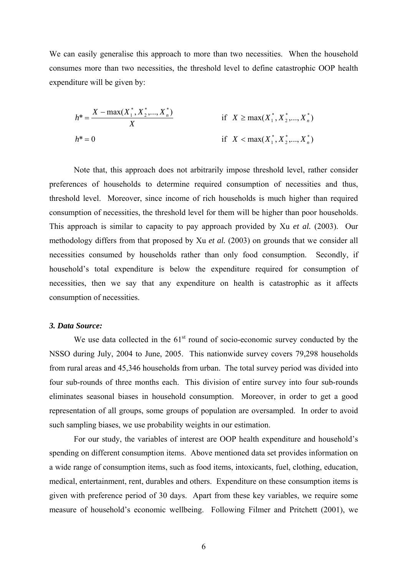We can easily generalise this approach to more than two necessities. When the household consumes more than two necessities, the threshold level to define catastrophic OOP health expenditure will be given by:

$$
h^* = \frac{X - \max(X_1^*, X_2^*, \dots, X_n^*)}{X}
$$
 if  $X \ge \max(X_1^*, X_2^*, \dots, X_n^*)$   

$$
h^* = 0
$$
 if  $X < \max(X_1^*, X_2^*, \dots, X_n^*)$ 

Note that, this approach does not arbitrarily impose threshold level, rather consider preferences of households to determine required consumption of necessities and thus, threshold level. Moreover, since income of rich households is much higher than required consumption of necessities, the threshold level for them will be higher than poor households. This approach is similar to capacity to pay approach provided by Xu *et al.* (2003). Our methodology differs from that proposed by Xu *et al.* (2003) on grounds that we consider all necessities consumed by households rather than only food consumption. Secondly, if household's total expenditure is below the expenditure required for consumption of necessities, then we say that any expenditure on health is catastrophic as it affects consumption of necessities.

## *3. Data Source:*

We use data collected in the  $61<sup>st</sup>$  round of socio-economic survey conducted by the NSSO during July, 2004 to June, 2005. This nationwide survey covers 79,298 households from rural areas and 45,346 households from urban. The total survey period was divided into four sub-rounds of three months each. This division of entire survey into four sub-rounds eliminates seasonal biases in household consumption. Moreover, in order to get a good representation of all groups, some groups of population are oversampled. In order to avoid such sampling biases, we use probability weights in our estimation.

For our study, the variables of interest are OOP health expenditure and household's spending on different consumption items. Above mentioned data set provides information on a wide range of consumption items, such as food items, intoxicants, fuel, clothing, education, medical, entertainment, rent, durables and others. Expenditure on these consumption items is given with preference period of 30 days. Apart from these key variables, we require some measure of household's economic wellbeing. Following Filmer and Pritchett (2001), we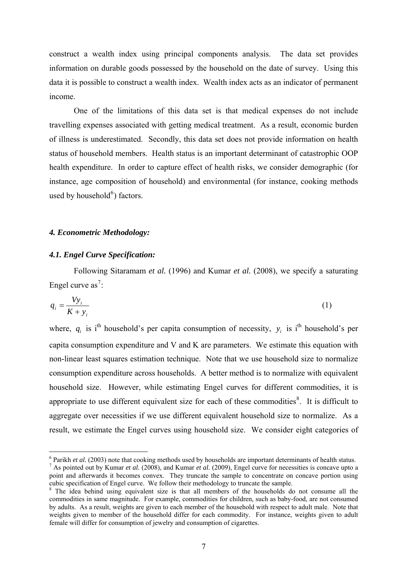construct a wealth index using principal components analysis. The data set provides information on durable goods possessed by the household on the date of survey. Using this data it is possible to construct a wealth index. Wealth index acts as an indicator of permanent income.

One of the limitations of this data set is that medical expenses do not include travelling expenses associated with getting medical treatment. As a result, economic burden of illness is underestimated. Secondly, this data set does not provide information on health status of household members. Health status is an important determinant of catastrophic OOP health expenditure. In order to capture effect of health risks, we consider demographic (for instance, age composition of household) and environmental (for instance, cooking methods used by household $^6$  $^6$ ) factors.

#### *4. Econometric Methodology:*

#### *4.1. Engel Curve Specification:*

 $\overline{a}$ 

Following Sitaramam *et al.* (1996) and Kumar *et al.* (2008), we specify a saturating Engel curve as<sup>[7](#page-8-1)</sup>:

$$
q_i = \frac{V y_i}{K + y_i} \tag{1}
$$

where,  $q_i$  is i<sup>th</sup> household's per capita consumption of necessity,  $y_i$  is i<sup>th</sup> household's per capita consumption expenditure and V and K are parameters. We estimate this equation with non-linear least squares estimation technique. Note that we use household size to normalize consumption expenditure across households. A better method is to normalize with equivalent household size. However, while estimating Engel curves for different commodities, it is appropriate to use different equivalent size for each of these commodities<sup>[8](#page-8-2)</sup>. It is difficult to aggregate over necessities if we use different equivalent household size to normalize. As a result, we estimate the Engel curves using household size. We consider eight categories of

<sup>&</sup>lt;sup>6</sup> Parikh *et al.* (2003) note that cooking methods used by households are important determinants of health status.<br><sup>7</sup> As pointed out by Kumar at al. (2008), and Kumar at al. (2000). Encol surve for pecessities is conce

<span id="page-8-1"></span><span id="page-8-0"></span><sup>&</sup>lt;sup>7</sup> As pointed out by Kumar *et al.* (2008), and Kumar *et al.* (2009), Engel curve for necessities is concave upto a point and afterwards it becomes convex. They truncate the sample to concentrate on concave portion using cubic specification of Engel curve. We follow their methodology to truncate the sample.

<span id="page-8-2"></span><sup>&</sup>lt;sup>8</sup> The idea behind using equivalent size is that all members of the households do not consume all the commodities in same magnitude. For example, commodities for children, such as baby-food, are not consumed by adults. As a result, weights are given to each member of the household with respect to adult male. Note that weights given to member of the household differ for each commodity. For instance, weights given to adult female will differ for consumption of jewelry and consumption of cigarettes.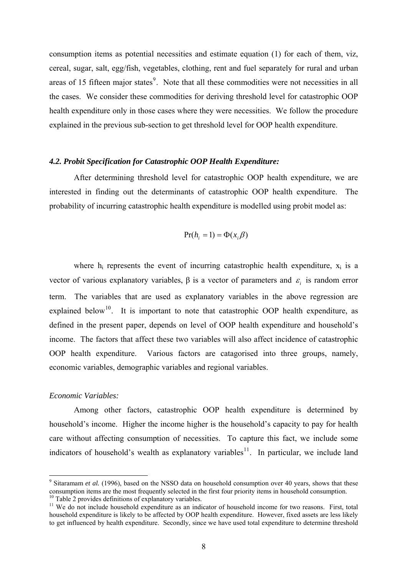consumption items as potential necessities and estimate equation (1) for each of them, viz, cereal, sugar, salt, egg/fish, vegetables, clothing, rent and fuel separately for rural and urban areas of 15 fifteen major states<sup>[9](#page-9-0)</sup>. Note that all these commodities were not necessities in all the cases. We consider these commodities for deriving threshold level for catastrophic OOP health expenditure only in those cases where they were necessities. We follow the procedure explained in the previous sub-section to get threshold level for OOP health expenditure.

#### *4.2. Probit Specification for Catastrophic OOP Health Expenditure:*

After determining threshold level for catastrophic OOP health expenditure, we are interested in finding out the determinants of catastrophic OOP health expenditure. The probability of incurring catastrophic health expenditure is modelled using probit model as:

$$
Pr(h_i = 1) = \Phi(x_i \beta)
$$

where  $h_i$  represents the event of incurring catastrophic health expenditure,  $x_i$  is a vector of various explanatory variables,  $\beta$  is a vector of parameters and  $\varepsilon_i$  is random error term. The variables that are used as explanatory variables in the above regression are explained below<sup>[10](#page-9-1)</sup>. It is important to note that catastrophic OOP health expenditure, as defined in the present paper, depends on level of OOP health expenditure and household's income. The factors that affect these two variables will also affect incidence of catastrophic OOP health expenditure. Various factors are catagorised into three groups, namely, economic variables, demographic variables and regional variables.

#### *Economic Variables:*

 $\overline{a}$ 

Among other factors, catastrophic OOP health expenditure is determined by household's income. Higher the income higher is the household's capacity to pay for health care without affecting consumption of necessities. To capture this fact, we include some indicators of household's wealth as explanatory variables<sup>[11](#page-9-2)</sup>. In particular, we include land

<span id="page-9-0"></span><sup>&</sup>lt;sup>9</sup> Sitaramam *et al.* (1996), based on the NSSO data on household consumption over 40 years, shows that these consumption items are the most frequently selected in the first four priority items in household consumption.<br><sup>10</sup> Table 2 provides definitions of explanatory variables.

<span id="page-9-2"></span><span id="page-9-1"></span><sup>&</sup>lt;sup>11</sup> We do not include household expenditure as an indicator of household income for two reasons. First, total household expenditure is likely to be affected by OOP health expenditure. However, fixed assets are less likely to get influenced by health expenditure. Secondly, since we have used total expenditure to determine threshold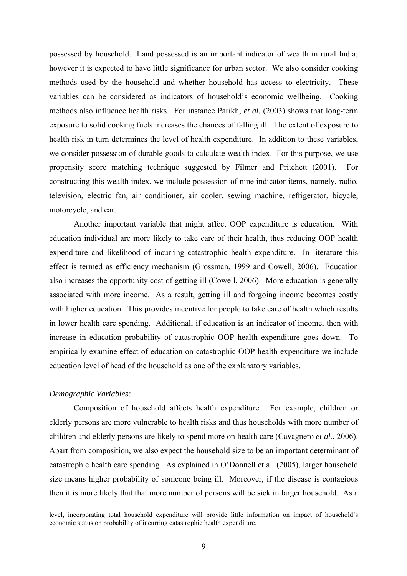possessed by household. Land possessed is an important indicator of wealth in rural India; however it is expected to have little significance for urban sector. We also consider cooking methods used by the household and whether household has access to electricity. These variables can be considered as indicators of household's economic wellbeing. Cooking methods also influence health risks. For instance Parikh, *et al.* (2003) shows that long-term exposure to solid cooking fuels increases the chances of falling ill. The extent of exposure to health risk in turn determines the level of health expenditure. In addition to these variables, we consider possession of durable goods to calculate wealth index. For this purpose, we use propensity score matching technique suggested by Filmer and Pritchett (2001). For constructing this wealth index, we include possession of nine indicator items, namely, radio, television, electric fan, air conditioner, air cooler, sewing machine, refrigerator, bicycle, motorcycle, and car.

Another important variable that might affect OOP expenditure is education. With education individual are more likely to take care of their health, thus reducing OOP health expenditure and likelihood of incurring catastrophic health expenditure. In literature this effect is termed as efficiency mechanism (Grossman, 1999 and Cowell, 2006). Education also increases the opportunity cost of getting ill (Cowell, 2006). More education is generally associated with more income. As a result, getting ill and forgoing income becomes costly with higher education. This provides incentive for people to take care of health which results in lower health care spending. Additional, if education is an indicator of income, then with increase in education probability of catastrophic OOP health expenditure goes down. To empirically examine effect of education on catastrophic OOP health expenditure we include education level of head of the household as one of the explanatory variables.

#### *Demographic Variables:*

 $\overline{a}$ 

Composition of household affects health expenditure. For example, children or elderly persons are more vulnerable to health risks and thus households with more number of children and elderly persons are likely to spend more on health care (Cavagnero *et al.*, 2006). Apart from composition, we also expect the household size to be an important determinant of catastrophic health care spending. As explained in O'Donnell et al. (2005), larger household size means higher probability of someone being ill. Moreover, if the disease is contagious then it is more likely that that more number of persons will be sick in larger household. As a

level, incorporating total household expenditure will provide little information on impact of household's economic status on probability of incurring catastrophic health expenditure.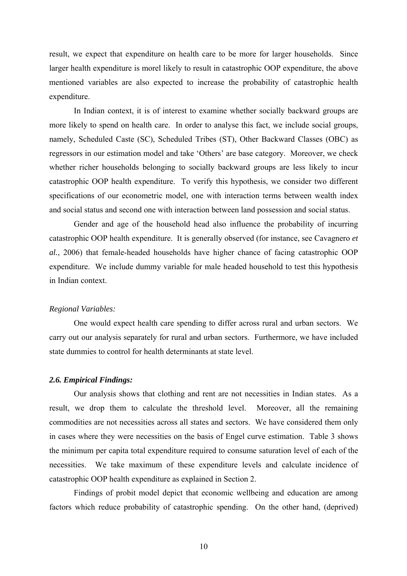result, we expect that expenditure on health care to be more for larger households. Since larger health expenditure is morel likely to result in catastrophic OOP expenditure, the above mentioned variables are also expected to increase the probability of catastrophic health expenditure.

In Indian context, it is of interest to examine whether socially backward groups are more likely to spend on health care. In order to analyse this fact, we include social groups, namely, Scheduled Caste (SC), Scheduled Tribes (ST), Other Backward Classes (OBC) as regressors in our estimation model and take 'Others' are base category. Moreover, we check whether richer households belonging to socially backward groups are less likely to incur catastrophic OOP health expenditure. To verify this hypothesis, we consider two different specifications of our econometric model, one with interaction terms between wealth index and social status and second one with interaction between land possession and social status.

Gender and age of the household head also influence the probability of incurring catastrophic OOP health expenditure. It is generally observed (for instance, see Cavagnero *et al.*, 2006) that female-headed households have higher chance of facing catastrophic OOP expenditure. We include dummy variable for male headed household to test this hypothesis in Indian context.

#### *Regional Variables:*

One would expect health care spending to differ across rural and urban sectors. We carry out our analysis separately for rural and urban sectors. Furthermore, we have included state dummies to control for health determinants at state level.

#### *2.6. Empirical Findings:*

Our analysis shows that clothing and rent are not necessities in Indian states. As a result, we drop them to calculate the threshold level. Moreover, all the remaining commodities are not necessities across all states and sectors. We have considered them only in cases where they were necessities on the basis of Engel curve estimation. Table 3 shows the minimum per capita total expenditure required to consume saturation level of each of the necessities. We take maximum of these expenditure levels and calculate incidence of catastrophic OOP health expenditure as explained in Section 2.

Findings of probit model depict that economic wellbeing and education are among factors which reduce probability of catastrophic spending. On the other hand, (deprived)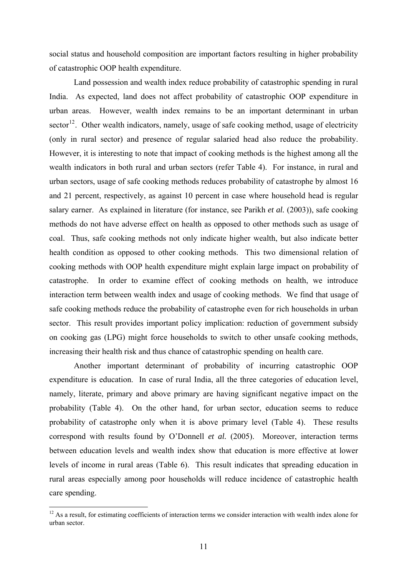social status and household composition are important factors resulting in higher probability of catastrophic OOP health expenditure.

Land possession and wealth index reduce probability of catastrophic spending in rural India. As expected, land does not affect probability of catastrophic OOP expenditure in urban areas. However, wealth index remains to be an important determinant in urban sector<sup>[12](#page-12-0)</sup>. Other wealth indicators, namely, usage of safe cooking method, usage of electricity (only in rural sector) and presence of regular salaried head also reduce the probability. However, it is interesting to note that impact of cooking methods is the highest among all the wealth indicators in both rural and urban sectors (refer Table 4). For instance, in rural and urban sectors, usage of safe cooking methods reduces probability of catastrophe by almost 16 and 21 percent, respectively, as against 10 percent in case where household head is regular salary earner. As explained in literature (for instance, see Parikh *et al.* (2003)), safe cooking methods do not have adverse effect on health as opposed to other methods such as usage of coal. Thus, safe cooking methods not only indicate higher wealth, but also indicate better health condition as opposed to other cooking methods. This two dimensional relation of cooking methods with OOP health expenditure might explain large impact on probability of catastrophe. In order to examine effect of cooking methods on health, we introduce interaction term between wealth index and usage of cooking methods. We find that usage of safe cooking methods reduce the probability of catastrophe even for rich households in urban sector. This result provides important policy implication: reduction of government subsidy on cooking gas (LPG) might force households to switch to other unsafe cooking methods, increasing their health risk and thus chance of catastrophic spending on health care.

Another important determinant of probability of incurring catastrophic OOP expenditure is education. In case of rural India, all the three categories of education level, namely, literate, primary and above primary are having significant negative impact on the probability (Table 4). On the other hand, for urban sector, education seems to reduce probability of catastrophe only when it is above primary level (Table 4). These results correspond with results found by O'Donnell *et al.* (2005). Moreover, interaction terms between education levels and wealth index show that education is more effective at lower levels of income in rural areas (Table 6). This result indicates that spreading education in rural areas especially among poor households will reduce incidence of catastrophic health care spending.

 $\overline{a}$ 

<span id="page-12-0"></span> $12$  As a result, for estimating coefficients of interaction terms we consider interaction with wealth index alone for urban sector.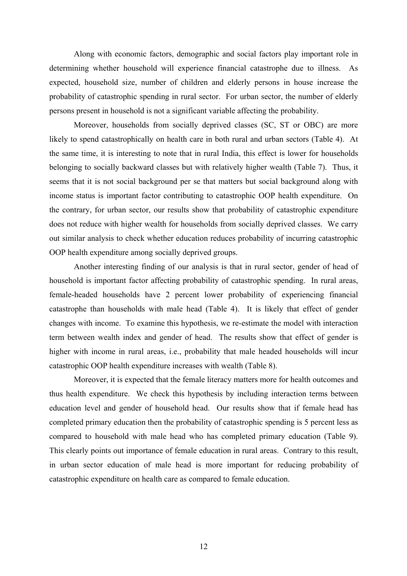Along with economic factors, demographic and social factors play important role in determining whether household will experience financial catastrophe due to illness. As expected, household size, number of children and elderly persons in house increase the probability of catastrophic spending in rural sector. For urban sector, the number of elderly persons present in household is not a significant variable affecting the probability.

Moreover, households from socially deprived classes (SC, ST or OBC) are more likely to spend catastrophically on health care in both rural and urban sectors (Table 4). At the same time, it is interesting to note that in rural India, this effect is lower for households belonging to socially backward classes but with relatively higher wealth (Table 7). Thus, it seems that it is not social background per se that matters but social background along with income status is important factor contributing to catastrophic OOP health expenditure. On the contrary, for urban sector, our results show that probability of catastrophic expenditure does not reduce with higher wealth for households from socially deprived classes. We carry out similar analysis to check whether education reduces probability of incurring catastrophic OOP health expenditure among socially deprived groups.

Another interesting finding of our analysis is that in rural sector, gender of head of household is important factor affecting probability of catastrophic spending. In rural areas, female-headed households have 2 percent lower probability of experiencing financial catastrophe than households with male head (Table 4). It is likely that effect of gender changes with income. To examine this hypothesis, we re-estimate the model with interaction term between wealth index and gender of head. The results show that effect of gender is higher with income in rural areas, i.e., probability that male headed households will incur catastrophic OOP health expenditure increases with wealth (Table 8).

Moreover, it is expected that the female literacy matters more for health outcomes and thus health expenditure. We check this hypothesis by including interaction terms between education level and gender of household head. Our results show that if female head has completed primary education then the probability of catastrophic spending is 5 percent less as compared to household with male head who has completed primary education (Table 9). This clearly points out importance of female education in rural areas. Contrary to this result, in urban sector education of male head is more important for reducing probability of catastrophic expenditure on health care as compared to female education.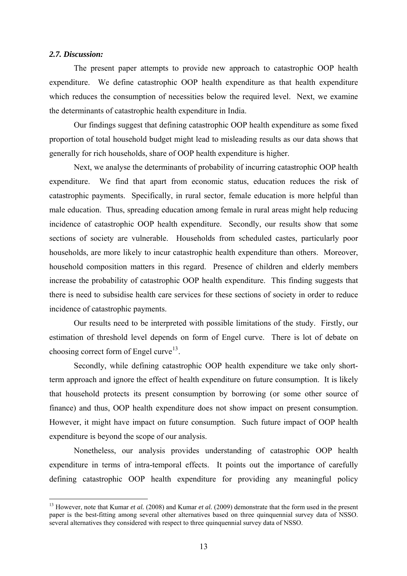#### *2.7. Discussion:*

 $\overline{a}$ 

The present paper attempts to provide new approach to catastrophic OOP health expenditure. We define catastrophic OOP health expenditure as that health expenditure which reduces the consumption of necessities below the required level. Next, we examine the determinants of catastrophic health expenditure in India.

Our findings suggest that defining catastrophic OOP health expenditure as some fixed proportion of total household budget might lead to misleading results as our data shows that generally for rich households, share of OOP health expenditure is higher.

Next, we analyse the determinants of probability of incurring catastrophic OOP health expenditure. We find that apart from economic status, education reduces the risk of catastrophic payments. Specifically, in rural sector, female education is more helpful than male education. Thus, spreading education among female in rural areas might help reducing incidence of catastrophic OOP health expenditure. Secondly, our results show that some sections of society are vulnerable. Households from scheduled castes, particularly poor households, are more likely to incur catastrophic health expenditure than others. Moreover, household composition matters in this regard. Presence of children and elderly members increase the probability of catastrophic OOP health expenditure. This finding suggests that there is need to subsidise health care services for these sections of society in order to reduce incidence of catastrophic payments.

Our results need to be interpreted with possible limitations of the study. Firstly, our estimation of threshold level depends on form of Engel curve. There is lot of debate on choosing correct form of Engel curve<sup>[13](#page-14-0)</sup>.

Secondly, while defining catastrophic OOP health expenditure we take only shortterm approach and ignore the effect of health expenditure on future consumption. It is likely that household protects its present consumption by borrowing (or some other source of finance) and thus, OOP health expenditure does not show impact on present consumption. However, it might have impact on future consumption. Such future impact of OOP health expenditure is beyond the scope of our analysis.

Nonetheless, our analysis provides understanding of catastrophic OOP health expenditure in terms of intra-temporal effects. It points out the importance of carefully defining catastrophic OOP health expenditure for providing any meaningful policy

<span id="page-14-0"></span><sup>&</sup>lt;sup>13</sup> However, note that Kumar *et al.* (2008) and Kumar *et al.* (2009) demonstrate that the form used in the present paper is the best-fitting among several other alternatives based on three quinquennial survey data of NSSO. several alternatives they considered with respect to three quinquennial survey data of NSSO.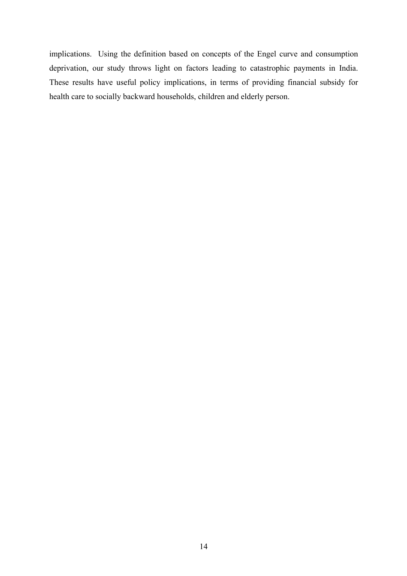implications. Using the definition based on concepts of the Engel curve and consumption deprivation, our study throws light on factors leading to catastrophic payments in India. These results have useful policy implications, in terms of providing financial subsidy for health care to socially backward households, children and elderly person.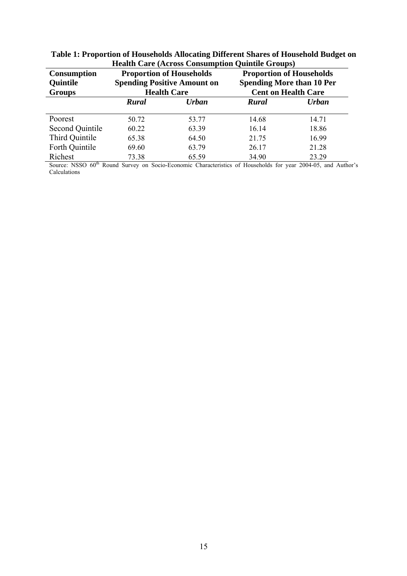|                        | ricatul Care (Across Consumption Quintile Groups) |                                    |                            |                                  |  |  |  |  |
|------------------------|---------------------------------------------------|------------------------------------|----------------------------|----------------------------------|--|--|--|--|
| <b>Consumption</b>     |                                                   | <b>Proportion of Households</b>    |                            | <b>Proportion of Households</b>  |  |  |  |  |
| <b>Quintile</b>        |                                                   | <b>Spending Positive Amount on</b> |                            | <b>Spending More than 10 Per</b> |  |  |  |  |
| <b>Groups</b>          |                                                   | <b>Health Care</b>                 | <b>Cent on Health Care</b> |                                  |  |  |  |  |
|                        | Urban<br><b>Rural</b>                             |                                    | <b>Rural</b>               | <b>Urban</b>                     |  |  |  |  |
|                        |                                                   |                                    |                            |                                  |  |  |  |  |
| Poorest                | 50.72                                             | 53.77                              | 14.68                      | 14.71                            |  |  |  |  |
| <b>Second Quintile</b> | 60.22                                             | 63.39                              | 16.14                      | 18.86                            |  |  |  |  |
| Third Quintile         | 65.38                                             | 64.50                              | 21.75                      | 16.99                            |  |  |  |  |
| Forth Quintile         | 69.60                                             | 63.79                              | 26.17                      | 21.28                            |  |  |  |  |
| Richest                | 73.38                                             | 65.59                              | 34.90                      | 23.29                            |  |  |  |  |

**Table 1: Proportion of Households Allocating Different Shares of Household Budget on Health Care (Across Consumption Quintile Groups)** 

Source: NSSO 60<sup>th</sup> Round Survey on Socio-Economic Characteristics of Households for year 2004-05, and Author's Calculations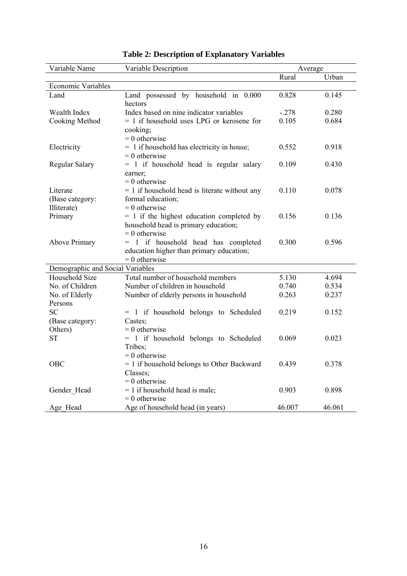| Variable Name                     | Variable Description                            | Average        |                |  |
|-----------------------------------|-------------------------------------------------|----------------|----------------|--|
|                                   |                                                 | Rural          | Urban          |  |
| <b>Economic Variables</b>         |                                                 |                |                |  |
| Land                              | Land possessed by household in 0.000<br>hectors | 0.828          | 0.145          |  |
| Wealth Index                      | Index based on nine indicator variables         | $-.278$        | 0.280          |  |
| <b>Cooking Method</b>             | $= 1$ if household uses LPG or kerosene for     | 0.105          | 0.684          |  |
|                                   | cooking;                                        |                |                |  |
|                                   | $= 0$ otherwise                                 |                |                |  |
| Electricity                       | $= 1$ if household has electricity in house;    | 0.552          | 0.918          |  |
|                                   | $= 0$ otherwise                                 |                |                |  |
| Regular Salary                    | $= 1$ if household head is regular salary       | 0.109          | 0.430          |  |
|                                   | earner:                                         |                |                |  |
|                                   | $= 0$ otherwise                                 |                |                |  |
| Literate                          | $= 1$ if household head is literate without any | 0.110          | 0.078          |  |
| (Base category:                   | formal education;                               |                |                |  |
| Illiterate)                       | $= 0$ otherwise                                 |                |                |  |
| Primary                           | $= 1$ if the highest education completed by     | 0.156          | 0.136          |  |
|                                   | household head is primary education;            |                |                |  |
|                                   | $= 0$ otherwise                                 |                |                |  |
| <b>Above Primary</b>              | = 1 if household head has completed             | 0.300          | 0.596          |  |
|                                   | education higher than primary education;        |                |                |  |
|                                   | $= 0$ otherwise                                 |                |                |  |
| Demographic and Social Variables  | Total number of household members               |                |                |  |
| Household Size<br>No. of Children | Number of children in household                 | 5.130<br>0.740 | 4.694<br>0.534 |  |
| No. of Elderly                    |                                                 | 0.263          | 0.237          |  |
| Persons                           | Number of elderly persons in household          |                |                |  |
| <b>SC</b>                         | = 1 if household belongs to Scheduled           | 0.219          | 0.152          |  |
| (Base category:                   | Castes;                                         |                |                |  |
| Others)                           | $= 0$ otherwise                                 |                |                |  |
| <b>ST</b>                         | = 1 if household belongs to Scheduled           | 0.069          | 0.023          |  |
|                                   | Tribes;                                         |                |                |  |
|                                   | $= 0$ otherwise                                 |                |                |  |
| OBC                               | $= 1$ if household belongs to Other Backward    | 0.439          | 0.378          |  |
|                                   | Classes;                                        |                |                |  |
|                                   | $= 0$ otherwise                                 |                |                |  |
| Gender_Head                       | $= 1$ if household head is male;                | 0.903          | 0.898          |  |
|                                   | $= 0$ otherwise                                 |                |                |  |
| Age Head                          | Age of household head (in years)                | 46.007         | 46.061         |  |

# **Table 2: Description of Explanatory Variables**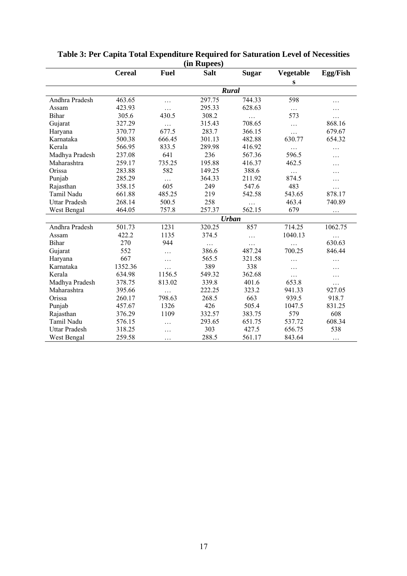|                      | <b>Cereal</b> | <b>Fuel</b> | <b>Salt</b> | <b>Sugar</b> | Vegetable | Egg/Fish |  |  |  |
|----------------------|---------------|-------------|-------------|--------------|-----------|----------|--|--|--|
|                      |               |             |             |              | S         |          |  |  |  |
|                      | <b>Rural</b>  |             |             |              |           |          |  |  |  |
| Andhra Pradesh       | 463.65        | .           | 297.75      | 744.33       | 598       | .        |  |  |  |
| Assam                | 423.93        | $\cdots$    | 295.33      | 628.63       | $\ldots$  | .        |  |  |  |
| Bihar                | 305.6         | 430.5       | 308.2       | .            | 573       | .        |  |  |  |
| Gujarat              | 327.29        | $\cdots$    | 315.43      | 708.65       | $\cdots$  | 868.16   |  |  |  |
| Haryana              | 370.77        | 677.5       | 283.7       | 366.15       | $\cdots$  | 679.67   |  |  |  |
| Karnataka            | 500.38        | 666.45      | 301.13      | 482.88       | 630.77    | 654.32   |  |  |  |
| Kerala               | 566.95        | 833.5       | 289.98      | 416.92       | .         | .        |  |  |  |
| Madhya Pradesh       | 237.08        | 641         | 236         | 567.36       | 596.5     | .        |  |  |  |
| Maharashtra          | 259.17        | 735.25      | 195.88      | 416.37       | 462.5     | .        |  |  |  |
| Orissa               | 283.88        | 582         | 149.25      | 388.6        | $\cdots$  | .        |  |  |  |
| Punjab               | 285.29        | $\cdots$    | 364.33      | 211.92       | 874.5     | $\cdot$  |  |  |  |
| Rajasthan            | 358.15        | 605         | 249         | 547.6        | 483       | .        |  |  |  |
| Tamil Nadu           | 661.88        | 485.25      | 219         | 542.58       | 543.65    | 878.17   |  |  |  |
| <b>Uttar Pradesh</b> | 268.14        | 500.5       | 258         | .            | 463.4     | 740.89   |  |  |  |
| West Bengal          | 464.05        | 757.8       | 257.37      | 562.15       | 679       | .        |  |  |  |
|                      |               |             |             | <b>Urban</b> |           |          |  |  |  |
| Andhra Pradesh       | 501.73        | 1231        | 320.25      | 857          | 714.25    | 1062.75  |  |  |  |
| Assam                | 422.2         | 1135        | 374.5       | $\cdots$     | 1040.13   | $\cdots$ |  |  |  |
| Bihar                | 270           | 944         | .           | .            |           | 630.63   |  |  |  |
| Gujarat              | 552           | .           | 386.6       | 487.24       | 700.25    | 846.44   |  |  |  |
| Haryana              | 667           | .           | 565.5       | 321.58       | .         | .        |  |  |  |
| Karnataka            | 1352.36       | $\cdots$    | 389         | 338          | $\cdots$  | $\cdot$  |  |  |  |
| Kerala               | 634.98        | 1156.5      | 549.32      | 362.68       | .         | .        |  |  |  |
| Madhya Pradesh       | 378.75        | 813.02      | 339.8       | 401.6        | 653.8     | .        |  |  |  |
| Maharashtra          | 395.66        | .           | 222.25      | 323.2        | 941.33    | 927.05   |  |  |  |
| Orissa               | 260.17        | 798.63      | 268.5       | 663          | 939.5     | 918.7    |  |  |  |
| Punjab               | 457.67        | 1326        | 426         | 505.4        | 1047.5    | 831.25   |  |  |  |
| Rajasthan            | 376.29        | 1109        | 332.57      | 383.75       | 579       | 608      |  |  |  |
| Tamil Nadu           | 576.15        | $\cdots$    | 293.65      | 651.75       | 537.72    | 608.34   |  |  |  |
| <b>Uttar Pradesh</b> | 318.25        | .           | 303         | 427.5        | 656.75    | 538      |  |  |  |
| West Bengal          | 259.58        | $\cdots$    | 288.5       | 561.17       | 843.64    | $\cdots$ |  |  |  |

#### **Table 3: Per Capita Total Expenditure Required for Saturation Level of Necessities (in Rupees)**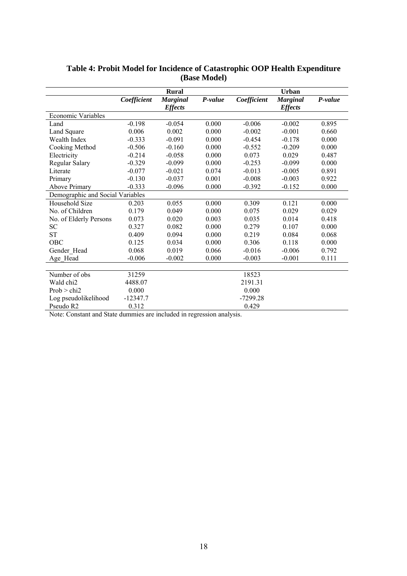|                                  |             | <b>Rural</b>                      |         | <b>Urban</b> |                                   |         |  |
|----------------------------------|-------------|-----------------------------------|---------|--------------|-----------------------------------|---------|--|
|                                  | Coefficient | <b>Marginal</b><br><b>Effects</b> | P-value | Coefficient  | <b>Marginal</b><br><b>Effects</b> | P-value |  |
| Economic Variables               |             |                                   |         |              |                                   |         |  |
| Land                             | $-0.198$    | $-0.054$                          | 0.000   | $-0.006$     | $-0.002$                          | 0.895   |  |
| Land Square                      | 0.006       | 0.002                             | 0.000   | $-0.002$     | $-0.001$                          | 0.660   |  |
| Wealth Index                     | $-0.333$    | $-0.091$                          | 0.000   | $-0.454$     | $-0.178$                          | 0.000   |  |
| Cooking Method                   | $-0.506$    | $-0.160$                          | 0.000   | $-0.552$     | $-0.209$                          | 0.000   |  |
| Electricity                      | $-0.214$    | $-0.058$                          | 0.000   | 0.073        | 0.029                             | 0.487   |  |
| Regular Salary                   | $-0.329$    | $-0.099$                          | 0.000   | $-0.253$     | $-0.099$                          | 0.000   |  |
| Literate                         | $-0.077$    | $-0.021$                          | 0.074   | $-0.013$     | $-0.005$                          | 0.891   |  |
| Primary                          | $-0.130$    | $-0.037$                          | 0.001   | $-0.008$     | $-0.003$                          | 0.922   |  |
| <b>Above Primary</b>             | $-0.333$    | $-0.096$                          | 0.000   | $-0.392$     | $-0.152$                          | 0.000   |  |
| Demographic and Social Variables |             |                                   |         |              |                                   |         |  |
| Household Size                   | 0.203       | 0.055                             | 0.000   | 0.309        | 0.121                             | 0.000   |  |
| No. of Children                  | 0.179       | 0.049                             | 0.000   | 0.075        | 0.029                             | 0.029   |  |
| No. of Elderly Persons           | 0.073       | 0.020                             | 0.003   | 0.035        | 0.014                             | 0.418   |  |
| <b>SC</b>                        | 0.327       | 0.082                             | 0.000   | 0.279        | 0.107                             | 0.000   |  |
| <b>ST</b>                        | 0.409       | 0.094                             | 0.000   | 0.219        | 0.084                             | 0.068   |  |
| OBC                              | 0.125       | 0.034                             | 0.000   | 0.306        | 0.118                             | 0.000   |  |
| Gender Head                      | 0.068       | 0.019                             | 0.066   | $-0.016$     | $-0.006$                          | 0.792   |  |
| Age Head                         | $-0.006$    | $-0.002$                          | 0.000   | $-0.003$     | $-0.001$                          | 0.111   |  |
|                                  |             |                                   |         |              |                                   |         |  |
| Number of obs                    | 31259       |                                   |         | 18523        |                                   |         |  |
| Wald chi2                        | 4488.07     |                                   |         | 2191.31      |                                   |         |  |
| Prob > chi2                      | 0.000       |                                   |         | 0.000        |                                   |         |  |
| Log pseudolikelihood             | $-12347.7$  |                                   |         | $-7299.28$   |                                   |         |  |
| Pseudo R <sub>2</sub>            | 0.312       |                                   |         | 0.429        |                                   |         |  |

## **Table 4: Probit Model for Incidence of Catastrophic OOP Health Expenditure (Base Model)**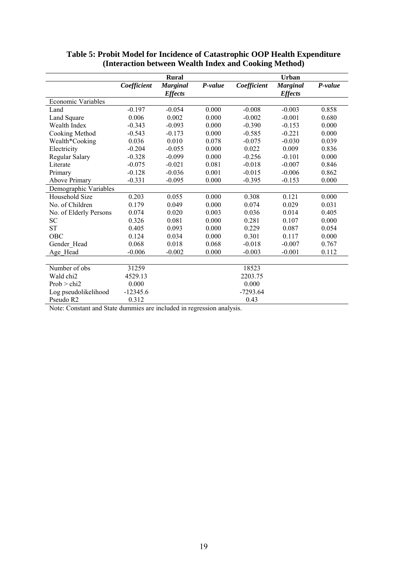|                        | Rural       |                                   |         | <b>Urban</b> |                                   |         |  |
|------------------------|-------------|-----------------------------------|---------|--------------|-----------------------------------|---------|--|
|                        | Coefficient | <b>Marginal</b><br><b>Effects</b> | P-value | Coefficient  | <b>Marginal</b><br><b>Effects</b> | P-value |  |
| Economic Variables     |             |                                   |         |              |                                   |         |  |
| Land                   | $-0.197$    | $-0.054$                          | 0.000   | $-0.008$     | $-0.003$                          | 0.858   |  |
| Land Square            | 0.006       | 0.002                             | 0.000   | $-0.002$     | $-0.001$                          | 0.680   |  |
| Wealth Index           | $-0.343$    | $-0.093$                          | 0.000   | $-0.390$     | $-0.153$                          | 0.000   |  |
| Cooking Method         | $-0.543$    | $-0.173$                          | 0.000   | $-0.585$     | $-0.221$                          | 0.000   |  |
| Wealth*Cooking         | 0.036       | 0.010                             | 0.078   | $-0.075$     | $-0.030$                          | 0.039   |  |
| Electricity            | $-0.204$    | $-0.055$                          | 0.000   | 0.022        | 0.009                             | 0.836   |  |
| Regular Salary         | $-0.328$    | $-0.099$                          | 0.000   | $-0.256$     | $-0.101$                          | 0.000   |  |
| Literate               | $-0.075$    | $-0.021$                          | 0.081   | $-0.018$     | $-0.007$                          | 0.846   |  |
| Primary                | $-0.128$    | $-0.036$                          | 0.001   | $-0.015$     | $-0.006$                          | 0.862   |  |
| <b>Above Primary</b>   | $-0.331$    | $-0.095$                          | 0.000   | $-0.395$     | $-0.153$                          | 0.000   |  |
| Demographic Variables  |             |                                   |         |              |                                   |         |  |
| Household Size         | 0.203       | 0.055                             | 0.000   | 0.308        | 0.121                             | 0.000   |  |
| No. of Children        | 0.179       | 0.049                             | 0.000   | 0.074        | 0.029                             | 0.031   |  |
| No. of Elderly Persons | 0.074       | 0.020                             | 0.003   | 0.036        | 0.014                             | 0.405   |  |
| <b>SC</b>              | 0.326       | 0.081                             | 0.000   | 0.281        | 0.107                             | 0.000   |  |
| <b>ST</b>              | 0.405       | 0.093                             | 0.000   | 0.229        | 0.087                             | 0.054   |  |
| OBC                    | 0.124       | 0.034                             | 0.000   | 0.301        | 0.117                             | 0.000   |  |
| Gender Head            | 0.068       | 0.018                             | 0.068   | $-0.018$     | $-0.007$                          | 0.767   |  |
| Age Head               | $-0.006$    | $-0.002$                          | 0.000   | $-0.003$     | $-0.001$                          | 0.112   |  |
|                        |             |                                   |         |              |                                   |         |  |
| Number of obs          | 31259       |                                   |         | 18523        |                                   |         |  |
| Wald chi <sub>2</sub>  | 4529.13     |                                   |         | 2203.75      |                                   |         |  |
| Prob > chi2            | 0.000       |                                   |         | 0.000        |                                   |         |  |
| Log pseudolikelihood   | $-12345.6$  |                                   |         | $-7293.64$   |                                   |         |  |
| Pseudo R2              | 0.312       |                                   |         | 0.43         |                                   |         |  |

#### **Table 5: Probit Model for Incidence of Catastrophic OOP Health Expenditure (Interaction between Wealth Index and Cooking Method)**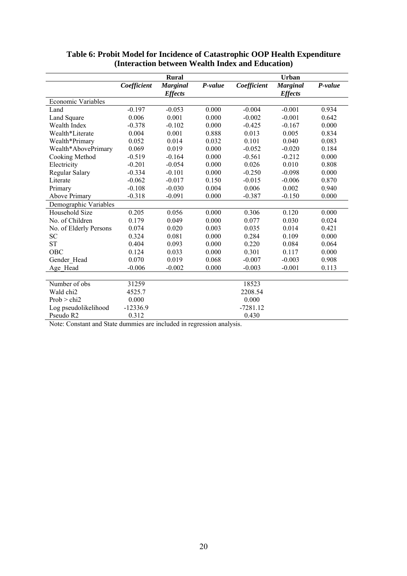|                        |             | <b>Rural</b>    |         |             | <b>Urban</b>    |         |
|------------------------|-------------|-----------------|---------|-------------|-----------------|---------|
|                        | Coefficient | <b>Marginal</b> | P-value | Coefficient | <b>Marginal</b> | P-value |
|                        |             | <b>Effects</b>  |         |             | <b>Effects</b>  |         |
| Economic Variables     |             |                 |         |             |                 |         |
| Land                   | $-0.197$    | $-0.053$        | 0.000   | $-0.004$    | $-0.001$        | 0.934   |
| Land Square            | 0.006       | 0.001           | 0.000   | $-0.002$    | $-0.001$        | 0.642   |
| Wealth Index           | $-0.378$    | $-0.102$        | 0.000   | $-0.425$    | $-0.167$        | 0.000   |
| Wealth*Literate        | 0.004       | 0.001           | 0.888   | 0.013       | 0.005           | 0.834   |
| Wealth*Primary         | 0.052       | 0.014           | 0.032   | 0.101       | 0.040           | 0.083   |
| Wealth*AbovePrimary    | 0.069       | 0.019           | 0.000   | $-0.052$    | $-0.020$        | 0.184   |
| Cooking Method         | $-0.519$    | $-0.164$        | 0.000   | $-0.561$    | $-0.212$        | 0.000   |
| Electricity            | $-0.201$    | $-0.054$        | 0.000   | 0.026       | 0.010           | 0.808   |
| Regular Salary         | $-0.334$    | $-0.101$        | 0.000   | $-0.250$    | $-0.098$        | 0.000   |
| Literate               | $-0.062$    | $-0.017$        | 0.150   | $-0.015$    | $-0.006$        | 0.870   |
| Primary                | $-0.108$    | $-0.030$        | 0.004   | 0.006       | 0.002           | 0.940   |
| <b>Above Primary</b>   | $-0.318$    | $-0.091$        | 0.000   | $-0.387$    | $-0.150$        | 0.000   |
| Demographic Variables  |             |                 |         |             |                 |         |
| Household Size         | 0.205       | 0.056           | 0.000   | 0.306       | 0.120           | 0.000   |
| No. of Children        | 0.179       | 0.049           | 0.000   | 0.077       | 0.030           | 0.024   |
| No. of Elderly Persons | 0.074       | 0.020           | 0.003   | 0.035       | 0.014           | 0.421   |
| <b>SC</b>              | 0.324       | 0.081           | 0.000   | 0.284       | 0.109           | 0.000   |
| <b>ST</b>              | 0.404       | 0.093           | 0.000   | 0.220       | 0.084           | 0.064   |
| OBC                    | 0.124       | 0.033           | 0.000   | 0.301       | 0.117           | 0.000   |
| Gender Head            | 0.070       | 0.019           | 0.068   | $-0.007$    | $-0.003$        | 0.908   |
| Age_Head               | $-0.006$    | $-0.002$        | 0.000   | $-0.003$    | $-0.001$        | 0.113   |
|                        |             |                 |         |             |                 |         |
| Number of obs          | 31259       |                 |         | 18523       |                 |         |
| Wald chi <sub>2</sub>  | 4525.7      |                 |         | 2208.54     |                 |         |
| Prob > chi2            | 0.000       |                 |         | 0.000       |                 |         |
| Log pseudolikelihood   | $-12336.9$  |                 |         | $-7281.12$  |                 |         |
| Pseudo R <sub>2</sub>  | 0.312       |                 |         | 0.430       |                 |         |

## **Table 6: Probit Model for Incidence of Catastrophic OOP Health Expenditure (Interaction between Wealth Index and Education)**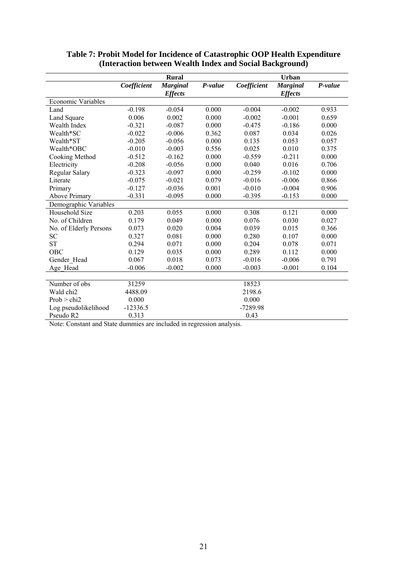|                        |             | <b>Rural</b>    |         |             | <b>Urban</b>    |         |
|------------------------|-------------|-----------------|---------|-------------|-----------------|---------|
|                        | Coefficient | <b>Marginal</b> | P-value | Coefficient | <b>Marginal</b> | P-value |
|                        |             | <b>Effects</b>  |         |             | <b>Effects</b>  |         |
| Economic Variables     |             |                 |         |             |                 |         |
| Land                   | $-0.198$    | $-0.054$        | 0.000   | $-0.004$    | $-0.002$        | 0.933   |
| Land Square            | 0.006       | 0.002           | 0.000   | $-0.002$    | $-0.001$        | 0.659   |
| Wealth Index           | $-0.321$    | $-0.087$        | 0.000   | $-0.475$    | $-0.186$        | 0.000   |
| Wealth*SC              | $-0.022$    | $-0.006$        | 0.362   | 0.087       | 0.034           | 0.026   |
| Wealth*ST              | $-0.205$    | $-0.056$        | 0.000   | 0.135       | 0.053           | 0.057   |
| Wealth*OBC             | $-0.010$    | $-0.003$        | 0.556   | 0.025       | 0.010           | 0.375   |
| Cooking Method         | $-0.512$    | $-0.162$        | 0.000   | $-0.559$    | $-0.211$        | 0.000   |
| Electricity            | $-0.208$    | $-0.056$        | 0.000   | 0.040       | 0.016           | 0.706   |
| Regular Salary         | $-0.323$    | $-0.097$        | 0.000   | $-0.259$    | $-0.102$        | 0.000   |
| Literate               | $-0.075$    | $-0.021$        | 0.079   | $-0.016$    | $-0.006$        | 0.866   |
| Primary                | $-0.127$    | $-0.036$        | 0.001   | $-0.010$    | $-0.004$        | 0.906   |
| <b>Above Primary</b>   | $-0.331$    | $-0.095$        | 0.000   | $-0.395$    | $-0.153$        | 0.000   |
| Demographic Variables  |             |                 |         |             |                 |         |
| Household Size         | 0.203       | 0.055           | 0.000   | 0.308       | 0.121           | 0.000   |
| No. of Children        | 0.179       | 0.049           | 0.000   | 0.076       | 0.030           | 0.027   |
| No. of Elderly Persons | 0.073       | 0.020           | 0.004   | 0.039       | 0.015           | 0.366   |
| <b>SC</b>              | 0.327       | 0.081           | 0.000   | 0.280       | 0.107           | 0.000   |
| <b>ST</b>              | 0.294       | 0.071           | 0.000   | 0.204       | 0.078           | 0.071   |
| OBC                    | 0.129       | 0.035           | 0.000   | 0.289       | 0.112           | 0.000   |
| Gender Head            | 0.067       | 0.018           | 0.073   | $-0.016$    | $-0.006$        | 0.791   |
| Age Head               | $-0.006$    | $-0.002$        | 0.000   | $-0.003$    | $-0.001$        | 0.104   |
|                        |             |                 |         |             |                 |         |
| Number of obs          | 31259       |                 |         | 18523       |                 |         |
| Wald chi <sub>2</sub>  | 4488.09     |                 |         | 2198.6      |                 |         |
| Prob > chi2            | 0.000       |                 |         | 0.000       |                 |         |
| Log pseudolikelihood   | $-12336.5$  |                 |         | $-7289.98$  |                 |         |
| Pseudo R <sub>2</sub>  | 0.313       |                 |         | 0.43        |                 |         |

### **Table 7: Probit Model for Incidence of Catastrophic OOP Health Expenditure (Interaction between Wealth Index and Social Background)**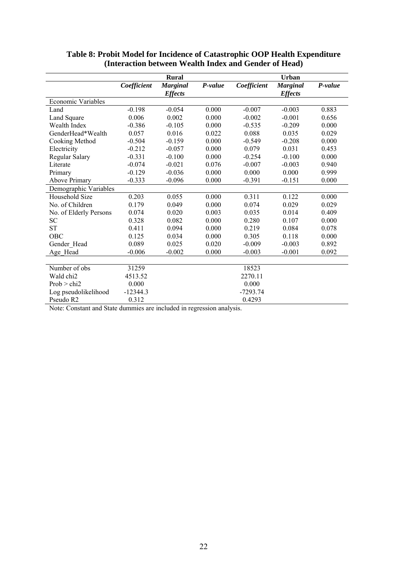|                        |             | <b>Rural</b>                      |         |             | <b>Urban</b>                      |         |
|------------------------|-------------|-----------------------------------|---------|-------------|-----------------------------------|---------|
|                        | Coefficient | <b>Marginal</b><br><b>Effects</b> | P-value | Coefficient | <b>Marginal</b><br><b>Effects</b> | P-value |
| Economic Variables     |             |                                   |         |             |                                   |         |
| Land                   | $-0.198$    | $-0.054$                          | 0.000   | $-0.007$    | $-0.003$                          | 0.883   |
| Land Square            | 0.006       | 0.002                             | 0.000   | $-0.002$    | $-0.001$                          | 0.656   |
| Wealth Index           | $-0.386$    | $-0.105$                          | 0.000   | $-0.535$    | $-0.209$                          | 0.000   |
| GenderHead*Wealth      | 0.057       | 0.016                             | 0.022   | 0.088       | 0.035                             | 0.029   |
| Cooking Method         | $-0.504$    | $-0.159$                          | 0.000   | $-0.549$    | $-0.208$                          | 0.000   |
| Electricity            | $-0.212$    | $-0.057$                          | 0.000   | 0.079       | 0.031                             | 0.453   |
| Regular Salary         | $-0.331$    | $-0.100$                          | 0.000   | $-0.254$    | $-0.100$                          | 0.000   |
| Literate               | $-0.074$    | $-0.021$                          | 0.076   | $-0.007$    | $-0.003$                          | 0.940   |
| Primary                | $-0.129$    | $-0.036$                          | 0.000   | 0.000       | 0.000                             | 0.999   |
| <b>Above Primary</b>   | $-0.333$    | $-0.096$                          | 0.000   | $-0.391$    | $-0.151$                          | 0.000   |
| Demographic Variables  |             |                                   |         |             |                                   |         |
| Household Size         | 0.203       | 0.055                             | 0.000   | 0.311       | 0.122                             | 0.000   |
| No. of Children        | 0.179       | 0.049                             | 0.000   | 0.074       | 0.029                             | 0.029   |
| No. of Elderly Persons | 0.074       | 0.020                             | 0.003   | 0.035       | 0.014                             | 0.409   |
| <b>SC</b>              | 0.328       | 0.082                             | 0.000   | 0.280       | 0.107                             | 0.000   |
| <b>ST</b>              | 0.411       | 0.094                             | 0.000   | 0.219       | 0.084                             | 0.078   |
| OBC                    | 0.125       | 0.034                             | 0.000   | 0.305       | 0.118                             | 0.000   |
| Gender Head            | 0.089       | 0.025                             | 0.020   | $-0.009$    | $-0.003$                          | 0.892   |
| Age_Head               | $-0.006$    | $-0.002$                          | 0.000   | $-0.003$    | $-0.001$                          | 0.092   |
|                        |             |                                   |         |             |                                   |         |
| Number of obs          | 31259       |                                   |         | 18523       |                                   |         |
| Wald chi <sub>2</sub>  | 4513.52     |                                   |         | 2270.11     |                                   |         |
| Prob > chi2            | 0.000       |                                   |         | 0.000       |                                   |         |
| Log pseudolikelihood   | $-12344.3$  |                                   |         | $-7293.74$  |                                   |         |
| Pseudo R2              | 0.312       |                                   |         | 0.4293      |                                   |         |

#### **Table 8: Probit Model for Incidence of Catastrophic OOP Health Expenditure (Interaction between Wealth Index and Gender of Head)**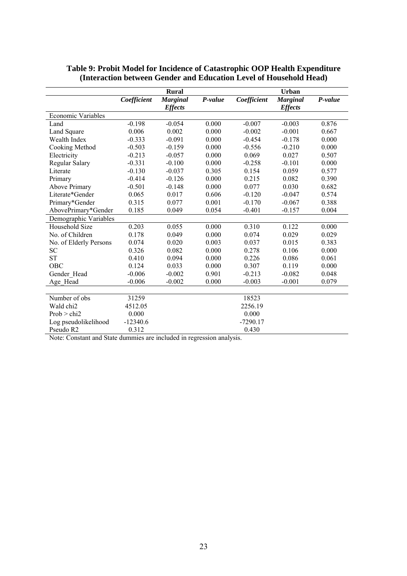|                        |             | <b>Rural</b>    |         |             | Urban           |         |
|------------------------|-------------|-----------------|---------|-------------|-----------------|---------|
|                        | Coefficient | <b>Marginal</b> | P-value | Coefficient | <b>Marginal</b> | P-value |
|                        |             | <b>Effects</b>  |         |             | <b>Effects</b>  |         |
| Economic Variables     |             |                 |         |             |                 |         |
| Land                   | $-0.198$    | $-0.054$        | 0.000   | $-0.007$    | $-0.003$        | 0.876   |
| Land Square            | 0.006       | 0.002           | 0.000   | $-0.002$    | $-0.001$        | 0.667   |
| Wealth Index           | $-0.333$    | $-0.091$        | 0.000   | $-0.454$    | $-0.178$        | 0.000   |
| Cooking Method         | $-0.503$    | $-0.159$        | 0.000   | $-0.556$    | $-0.210$        | 0.000   |
| Electricity            | $-0.213$    | $-0.057$        | 0.000   | 0.069       | 0.027           | 0.507   |
| Regular Salary         | $-0.331$    | $-0.100$        | 0.000   | $-0.258$    | $-0.101$        | 0.000   |
| Literate               | $-0.130$    | $-0.037$        | 0.305   | 0.154       | 0.059           | 0.577   |
| Primary                | $-0.414$    | $-0.126$        | 0.000   | 0.215       | 0.082           | 0.390   |
| <b>Above Primary</b>   | $-0.501$    | $-0.148$        | 0.000   | 0.077       | 0.030           | 0.682   |
| Literate*Gender        | 0.065       | 0.017           | 0.606   | $-0.120$    | $-0.047$        | 0.574   |
| Primary*Gender         | 0.315       | 0.077           | 0.001   | $-0.170$    | $-0.067$        | 0.388   |
| AbovePrimary*Gender    | 0.185       | 0.049           | 0.054   | $-0.401$    | $-0.157$        | 0.004   |
| Demographic Variables  |             |                 |         |             |                 |         |
| Household Size         | 0.203       | 0.055           | 0.000   | 0.310       | 0.122           | 0.000   |
| No. of Children        | 0.178       | 0.049           | 0.000   | 0.074       | 0.029           | 0.029   |
| No. of Elderly Persons | 0.074       | 0.020           | 0.003   | 0.037       | 0.015           | 0.383   |
| SС                     | 0.326       | 0.082           | 0.000   | 0.278       | 0.106           | 0.000   |
| <b>ST</b>              | 0.410       | 0.094           | 0.000   | 0.226       | 0.086           | 0.061   |
| OBC                    | 0.124       | 0.033           | 0.000   | 0.307       | 0.119           | 0.000   |
| Gender Head            | $-0.006$    | $-0.002$        | 0.901   | $-0.213$    | $-0.082$        | 0.048   |
| Age Head               | $-0.006$    | $-0.002$        | 0.000   | $-0.003$    | $-0.001$        | 0.079   |
|                        |             |                 |         |             |                 |         |
| Number of obs          | 31259       |                 |         | 18523       |                 |         |
| Wald chi2              | 4512.05     |                 |         | 2256.19     |                 |         |
| Prob > chi2            | 0.000       |                 |         | 0.000       |                 |         |
| Log pseudolikelihood   | $-12340.6$  |                 |         | $-7290.17$  |                 |         |
| Pseudo R <sub>2</sub>  | 0.312       |                 |         | 0.430       |                 |         |

#### **Table 9: Probit Model for Incidence of Catastrophic OOP Health Expenditure (Interaction between Gender and Education Level of Household Head)**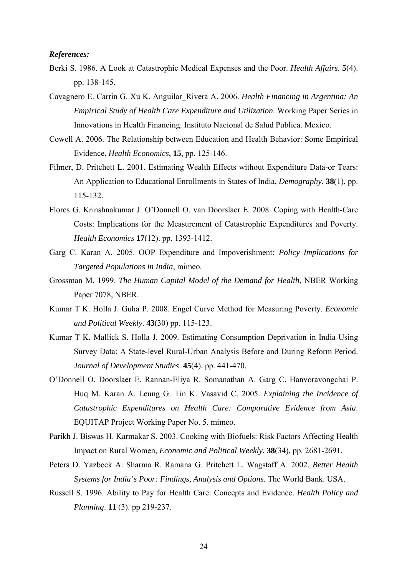#### *References:*

- Berki S. 1986. A Look at Catastrophic Medical Expenses and the Poor. *Health Affairs*. **5**(4). pp. 138-145.
- Cavagnero E. Carrin G. Xu K. Anguilar\_Rivera A. 2006. *Health Financing in Argentina: An Empirical Study of Health Care Expenditure and Utilization*. Working Paper Series in Innovations in Health Financing. Instituto Nacional de Salud Publica. Mexico.
- Cowell A. 2006. The Relationship between Education and Health Behavior: Some Empirical Evidence, *Health Economics*, **15**, pp. 125-146.
- Filmer, D. Pritchett L. 2001. Estimating Wealth Effects without Expenditure Data-or Tears: An Application to Educational Enrollments in States of India, *Demography*, **38**(1), pp. 115-132.
- Flores G. Krinshnakumar J. O'Donnell O. van Doorslaer E. 2008. Coping with Health-Care Costs: Implications for the Measurement of Catastrophic Expenditures and Poverty. *Health Economics* **17**(12). pp. 1393-1412.
- Garg C. Karan A. 2005. OOP Expenditure and Impoverishment*: Policy Implications for Targeted Populations in India*, mimeo.
- Grossman M. 1999. *The Human Capital Model of the Demand for Health*, NBER Working Paper 7078, NBER.
- Kumar T K. Holla J. Guha P. 2008. Engel Curve Method for Measuring Poverty. *Economic and Political Weekly*. **43**(30) pp. 115-123.
- Kumar T K. Mallick S. Holla J. 2009. Estimating Consumption Deprivation in India Using Survey Data: A State-level Rural-Urban Analysis Before and During Reform Period. *Journal of Development Studies*. **45**(4). pp. 441-470.
- O'Donnell O. Doorslaer E. Rannan-Eliya R. Somanathan A. Garg C. Hanvoravongchai P. Huq M. Karan A. Leung G. Tin K. Vasavid C. 2005. *Explaining the Incidence of Catastrophic Expenditures on Health Care: Comparative Evidence from Asia*. EQUITAP Project Working Paper No. 5. mimeo.
- Parikh J. Biswas H. Karmakar S. 2003. Cooking with Biofuels: Risk Factors Affecting Health Impact on Rural Women, *Economic and Political Weekly*, **38**(34), pp. 2681-2691.
- Peters D. Yazbeck A. Sharma R. Ramana G. Pritchett L. Wagstaff A. 2002. *Better Health Systems for India's Poor: Findings, Analysis and Options*. The World Bank. USA.
- Russell S. 1996. Ability to Pay for Health Care: Concepts and Evidence. *Health Policy and Planning*. **11** (3). pp 219-237.